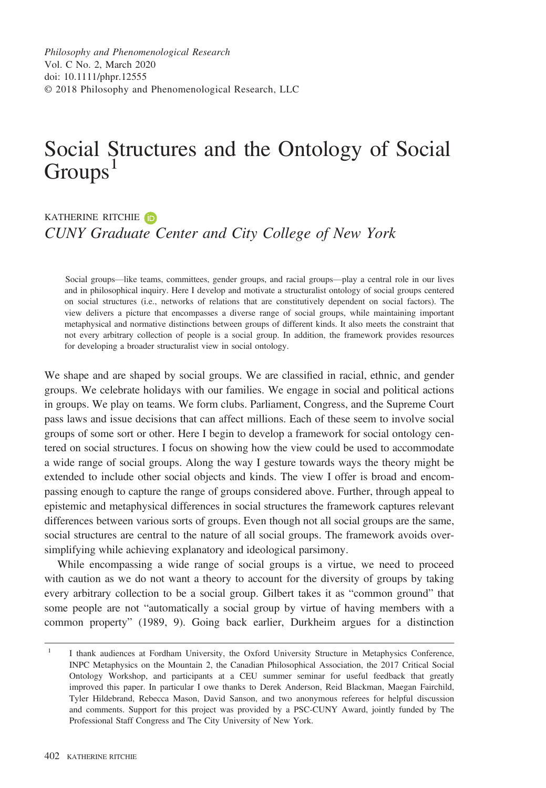# Social Structures and the Ontology of Social  $Groups<sup>1</sup>$

# KATH[E](http://orcid.org/0000-0003-0824-0482)RINE RITCHIE CUNY Graduate Center and City College of New York

Social groups—like teams, committees, gender groups, and racial groups—play a central role in our lives and in philosophical inquiry. Here I develop and motivate a structuralist ontology of social groups centered on social structures (i.e., networks of relations that are constitutively dependent on social factors). The view delivers a picture that encompasses a diverse range of social groups, while maintaining important metaphysical and normative distinctions between groups of different kinds. It also meets the constraint that not every arbitrary collection of people is a social group. In addition, the framework provides resources for developing a broader structuralist view in social ontology.

We shape and are shaped by social groups. We are classified in racial, ethnic, and gender groups. We celebrate holidays with our families. We engage in social and political actions in groups. We play on teams. We form clubs. Parliament, Congress, and the Supreme Court pass laws and issue decisions that can affect millions. Each of these seem to involve social groups of some sort or other. Here I begin to develop a framework for social ontology centered on social structures. I focus on showing how the view could be used to accommodate a wide range of social groups. Along the way I gesture towards ways the theory might be extended to include other social objects and kinds. The view I offer is broad and encompassing enough to capture the range of groups considered above. Further, through appeal to epistemic and metaphysical differences in social structures the framework captures relevant differences between various sorts of groups. Even though not all social groups are the same, social structures are central to the nature of all social groups. The framework avoids oversimplifying while achieving explanatory and ideological parsimony.

While encompassing a wide range of social groups is a virtue, we need to proceed with caution as we do not want a theory to account for the diversity of groups by taking every arbitrary collection to be a social group. Gilbert takes it as "common ground" that some people are not "automatically a social group by virtue of having members with a common property" (1989, 9). Going back earlier, Durkheim argues for a distinction

<sup>&</sup>lt;sup>1</sup> I thank audiences at Fordham University, the Oxford University Structure in Metaphysics Conference, INPC Metaphysics on the Mountain 2, the Canadian Philosophical Association, the 2017 Critical Social Ontology Workshop, and participants at a CEU summer seminar for useful feedback that greatly improved this paper. In particular I owe thanks to Derek Anderson, Reid Blackman, Maegan Fairchild, Tyler Hildebrand, Rebecca Mason, David Sanson, and two anonymous referees for helpful discussion and comments. Support for this project was provided by a PSC-CUNY Award, jointly funded by The Professional Staff Congress and The City University of New York.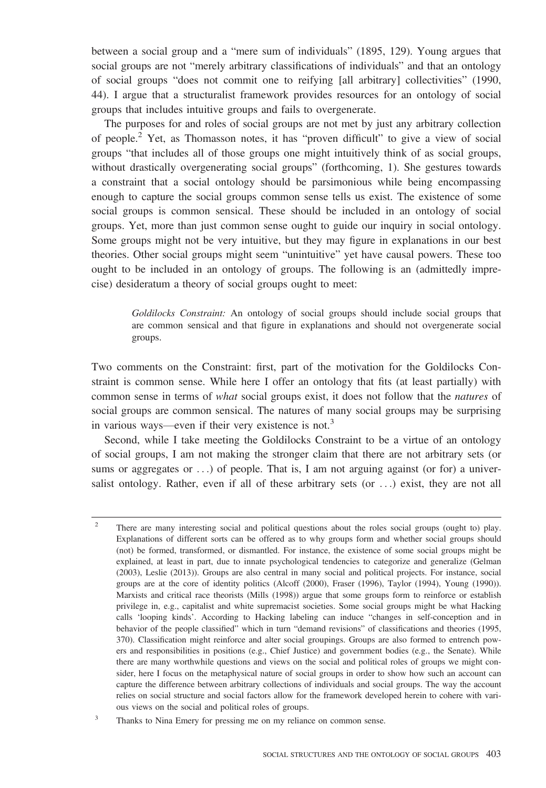between a social group and a "mere sum of individuals" (1895, 129). Young argues that social groups are not "merely arbitrary classifications of individuals" and that an ontology of social groups "does not commit one to reifying [all arbitrary] collectivities" (1990, 44). I argue that a structuralist framework provides resources for an ontology of social groups that includes intuitive groups and fails to overgenerate.

The purposes for and roles of social groups are not met by just any arbitrary collection of people.2 Yet, as Thomasson notes, it has "proven difficult" to give a view of social groups "that includes all of those groups one might intuitively think of as social groups, without drastically overgenerating social groups" (forthcoming, 1). She gestures towards a constraint that a social ontology should be parsimonious while being encompassing enough to capture the social groups common sense tells us exist. The existence of some social groups is common sensical. These should be included in an ontology of social groups. Yet, more than just common sense ought to guide our inquiry in social ontology. Some groups might not be very intuitive, but they may figure in explanations in our best theories. Other social groups might seem "unintuitive" yet have causal powers. These too ought to be included in an ontology of groups. The following is an (admittedly imprecise) desideratum a theory of social groups ought to meet:

Goldilocks Constraint: An ontology of social groups should include social groups that are common sensical and that figure in explanations and should not overgenerate social groups.

Two comments on the Constraint: first, part of the motivation for the Goldilocks Constraint is common sense. While here I offer an ontology that fits (at least partially) with common sense in terms of *what* social groups exist, it does not follow that the *natures* of social groups are common sensical. The natures of many social groups may be surprising in various ways—even if their very existence is not.<sup>3</sup>

Second, while I take meeting the Goldilocks Constraint to be a virtue of an ontology of social groups, I am not making the stronger claim that there are not arbitrary sets (or sums or aggregates or  $\ldots$ ) of people. That is, I am not arguing against (or for) a universalist ontology. Rather, even if all of these arbitrary sets (or ...) exist, they are not all

<sup>&</sup>lt;sup>2</sup> There are many interesting social and political questions about the roles social groups (ought to) play. Explanations of different sorts can be offered as to why groups form and whether social groups should (not) be formed, transformed, or dismantled. For instance, the existence of some social groups might be explained, at least in part, due to innate psychological tendencies to categorize and generalize (Gelman (2003), Leslie (2013)). Groups are also central in many social and political projects. For instance, social groups are at the core of identity politics (Alcoff (2000), Fraser (1996), Taylor (1994), Young (1990)). Marxists and critical race theorists (Mills (1998)) argue that some groups form to reinforce or establish privilege in, e.g., capitalist and white supremacist societies. Some social groups might be what Hacking calls 'looping kinds'. According to Hacking labeling can induce "changes in self-conception and in behavior of the people classified" which in turn "demand revisions" of classifications and theories (1995, 370). Classification might reinforce and alter social groupings. Groups are also formed to entrench powers and responsibilities in positions (e.g., Chief Justice) and government bodies (e.g., the Senate). While there are many worthwhile questions and views on the social and political roles of groups we might consider, here I focus on the metaphysical nature of social groups in order to show how such an account can capture the difference between arbitrary collections of individuals and social groups. The way the account relies on social structure and social factors allow for the framework developed herein to cohere with various views on the social and political roles of groups.

<sup>&</sup>lt;sup>3</sup> Thanks to Nina Emery for pressing me on my reliance on common sense.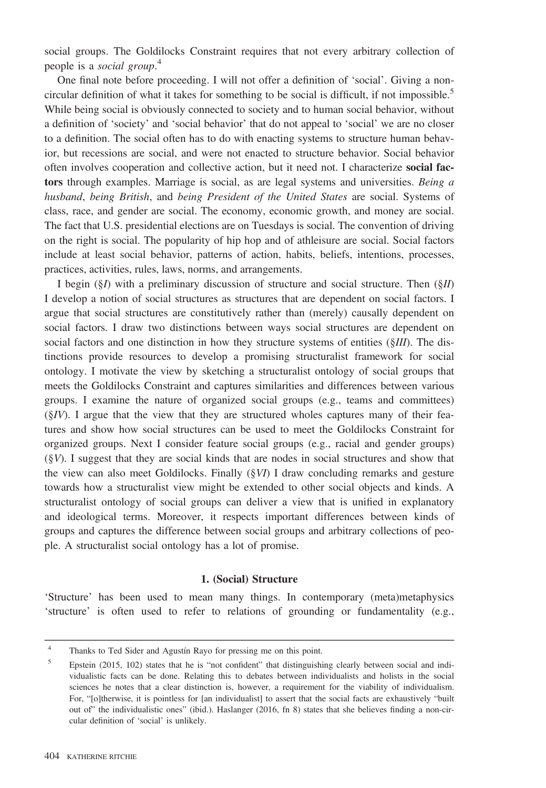social groups. The Goldilocks Constraint requires that not every arbitrary collection of people is a social group.<sup>4</sup>

One final note before proceeding. I will not offer a definition of 'social'. Giving a noncircular definition of what it takes for something to be social is difficult, if not impossible.<sup>5</sup> While being social is obviously connected to society and to human social behavior, without a definition of 'society' and 'social behavior' that do not appeal to 'social' we are no closer to a definition. The social often has to do with enacting systems to structure human behavior, but recessions are social, and were not enacted to structure behavior. Social behavior often involves cooperation and collective action, but it need not. I characterize social factors through examples. Marriage is social, as are legal systems and universities. Being a husband, being British, and being President of the United States are social. Systems of class, race, and gender are social. The economy, economic growth, and money are social. The fact that U.S. presidential elections are on Tuesdays is social. The convention of driving on the right is social. The popularity of hip hop and of athleisure are social. Social factors include at least social behavior, patterns of action, habits, beliefs, intentions, processes, practices, activities, rules, laws, norms, and arrangements.

I begin  $(\S I)$  with a preliminary discussion of structure and social structure. Then  $(\S II)$ I develop a notion of social structures as structures that are dependent on social factors. I argue that social structures are constitutively rather than (merely) causally dependent on social factors. I draw two distinctions between ways social structures are dependent on social factors and one distinction in how they structure systems of entities  $(SIII)$ . The distinctions provide resources to develop a promising structuralist framework for social ontology. I motivate the view by sketching a structuralist ontology of social groups that meets the Goldilocks Constraint and captures similarities and differences between various groups. I examine the nature of organized social groups (e.g., teams and committees)  $(\S{IV})$ . I argue that the view that they are structured wholes captures many of their features and show how social structures can be used to meet the Goldilocks Constraint for organized groups. Next I consider feature social groups (e.g., racial and gender groups) (§V). I suggest that they are social kinds that are nodes in social structures and show that the view can also meet Goldilocks. Finally  $(\frac{8}{V}I)$  I draw concluding remarks and gesture towards how a structuralist view might be extended to other social objects and kinds. A structuralist ontology of social groups can deliver a view that is unified in explanatory and ideological terms. Moreover, it respects important differences between kinds of groups and captures the difference between social groups and arbitrary collections of people. A structuralist social ontology has a lot of promise.

# 1. (Social) Structure

'Structure' has been used to mean many things. In contemporary (meta)metaphysics 'structure' is often used to refer to relations of grounding or fundamentality (e.g.,

<sup>&</sup>lt;sup>4</sup> Thanks to Ted Sider and Agustín Rayo for pressing me on this point.

<sup>&</sup>lt;sup>5</sup> Epstein (2015, 102) states that he is "not confident" that distinguishing clearly between social and individualistic facts can be done. Relating this to debates between individualists and holists in the social sciences he notes that a clear distinction is, however, a requirement for the viability of individualism. For, "[o]therwise, it is pointless for [an individualist] to assert that the social facts are exhaustively "built out of" the individualistic ones" (ibid.). Haslanger (2016, fn 8) states that she believes finding a non-circular definition of 'social' is unlikely.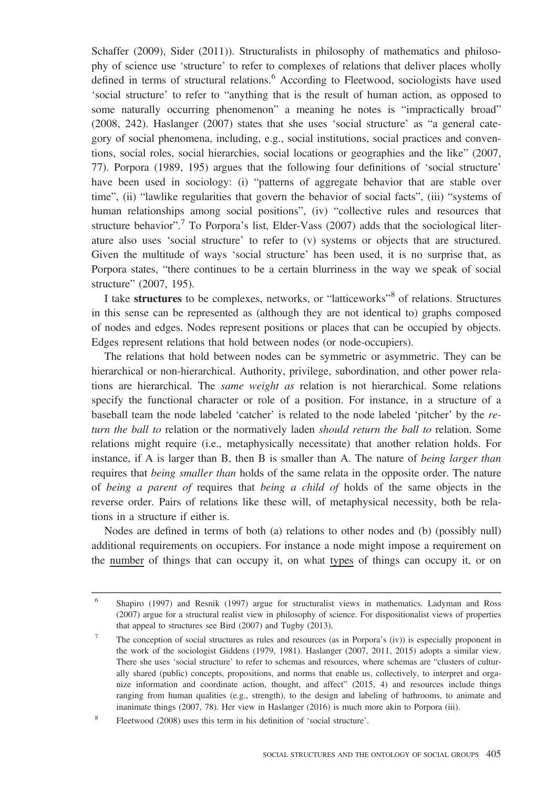Schaffer (2009), Sider (2011)). Structuralists in philosophy of mathematics and philosophy of science use 'structure' to refer to complexes of relations that deliver places wholly defined in terms of structural relations.<sup>6</sup> According to Fleetwood, sociologists have used 'social structure' to refer to "anything that is the result of human action, as opposed to some naturally occurring phenomenon" a meaning he notes is "impractically broad" (2008, 242). Haslanger (2007) states that she uses 'social structure' as "a general category of social phenomena, including, e.g., social institutions, social practices and conventions, social roles, social hierarchies, social locations or geographies and the like" (2007, 77). Porpora (1989, 195) argues that the following four definitions of 'social structure' have been used in sociology: (i) "patterns of aggregate behavior that are stable over time", (ii) "lawlike regularities that govern the behavior of social facts", (iii) "systems of human relationships among social positions", (iv) "collective rules and resources that structure behavior".<sup>7</sup> To Porpora's list, Elder-Vass (2007) adds that the sociological literature also uses 'social structure' to refer to (v) systems or objects that are structured. Given the multitude of ways 'social structure' has been used, it is no surprise that, as Porpora states, "there continues to be a certain blurriness in the way we speak of social structure" (2007, 195).

I take structures to be complexes, networks, or "latticeworks"<sup>8</sup> of relations. Structures in this sense can be represented as (although they are not identical to) graphs composed of nodes and edges. Nodes represent positions or places that can be occupied by objects. Edges represent relations that hold between nodes (or node-occupiers).

The relations that hold between nodes can be symmetric or asymmetric. They can be hierarchical or non-hierarchical. Authority, privilege, subordination, and other power relations are hierarchical. The *same weight as* relation is not hierarchical. Some relations specify the functional character or role of a position. For instance, in a structure of a baseball team the node labeled 'catcher' is related to the node labeled 'pitcher' by the return the ball to relation or the normatively laden *should return the ball to* relation. Some relations might require (i.e., metaphysically necessitate) that another relation holds. For instance, if A is larger than B, then B is smaller than A. The nature of *being larger than* requires that being smaller than holds of the same relata in the opposite order. The nature of being a parent of requires that being a child of holds of the same objects in the reverse order. Pairs of relations like these will, of metaphysical necessity, both be relations in a structure if either is.

Nodes are defined in terms of both (a) relations to other nodes and (b) (possibly null) additional requirements on occupiers. For instance a node might impose a requirement on the number of things that can occupy it, on what types of things can occupy it, or on

<sup>6</sup> Shapiro (1997) and Resnik (1997) argue for structuralist views in mathematics. Ladyman and Ross (2007) argue for a structural realist view in philosophy of science. For dispositionalist views of properties that appeal to structures see Bird (2007) and Tugby (2013).

<sup>&</sup>lt;sup>7</sup> The conception of social structures as rules and resources (as in Porpora's (iv)) is especially proponent in the work of the sociologist Giddens (1979, 1981). Haslanger (2007, 2011, 2015) adopts a similar view. There she uses 'social structure' to refer to schemas and resources, where schemas are "clusters of culturally shared (public) concepts, propositions, and norms that enable us, collectively, to interpret and organize information and coordinate action, thought, and affect" (2015, 4) and resources include things ranging from human qualities (e.g., strength), to the design and labeling of bathrooms, to animate and inanimate things (2007, 78). Her view in Haslanger (2016) is much more akin to Porpora (iii).

<sup>8</sup> Fleetwood (2008) uses this term in his definition of 'social structure'.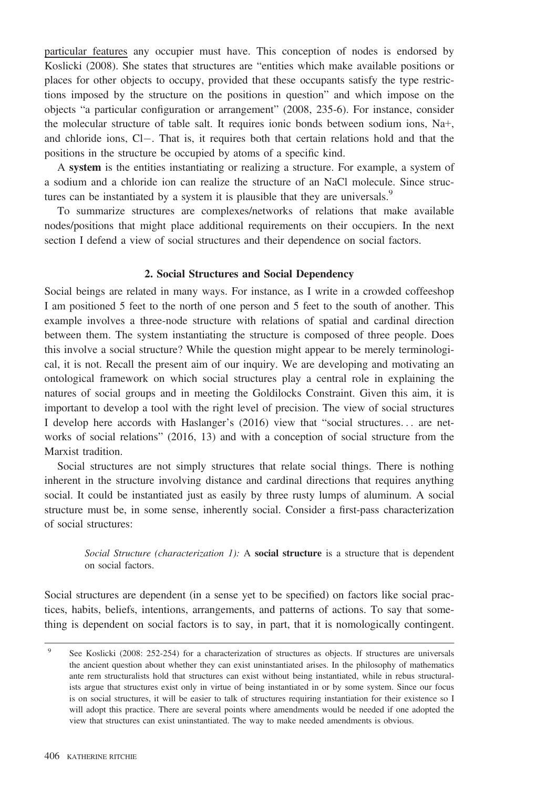particular features any occupier must have. This conception of nodes is endorsed by Koslicki (2008). She states that structures are "entities which make available positions or places for other objects to occupy, provided that these occupants satisfy the type restrictions imposed by the structure on the positions in question" and which impose on the objects "a particular configuration or arrangement" (2008, 235-6). For instance, consider the molecular structure of table salt. It requires ionic bonds between sodium ions, Na+, and chloride ions, Cl-. That is, it requires both that certain relations hold and that the positions in the structure be occupied by atoms of a specific kind.

A system is the entities instantiating or realizing a structure. For example, a system of a sodium and a chloride ion can realize the structure of an NaCl molecule. Since structures can be instantiated by a system it is plausible that they are universals.<sup>9</sup>

To summarize structures are complexes/networks of relations that make available nodes/positions that might place additional requirements on their occupiers. In the next section I defend a view of social structures and their dependence on social factors.

### 2. Social Structures and Social Dependency

Social beings are related in many ways. For instance, as I write in a crowded coffeeshop I am positioned 5 feet to the north of one person and 5 feet to the south of another. This example involves a three-node structure with relations of spatial and cardinal direction between them. The system instantiating the structure is composed of three people. Does this involve a social structure? While the question might appear to be merely terminological, it is not. Recall the present aim of our inquiry. We are developing and motivating an ontological framework on which social structures play a central role in explaining the natures of social groups and in meeting the Goldilocks Constraint. Given this aim, it is important to develop a tool with the right level of precision. The view of social structures I develop here accords with Haslanger's (2016) view that "social structures... are networks of social relations" (2016, 13) and with a conception of social structure from the Marxist tradition.

Social structures are not simply structures that relate social things. There is nothing inherent in the structure involving distance and cardinal directions that requires anything social. It could be instantiated just as easily by three rusty lumps of aluminum. A social structure must be, in some sense, inherently social. Consider a first-pass characterization of social structures:

Social Structure (characterization 1): A social structure is a structure that is dependent on social factors.

Social structures are dependent (in a sense yet to be specified) on factors like social practices, habits, beliefs, intentions, arrangements, and patterns of actions. To say that something is dependent on social factors is to say, in part, that it is nomologically contingent.

<sup>&</sup>lt;sup>9</sup> See Koslicki (2008: 252-254) for a characterization of structures as objects. If structures are universals the ancient question about whether they can exist uninstantiated arises. In the philosophy of mathematics ante rem structuralists hold that structures can exist without being instantiated, while in rebus structuralists argue that structures exist only in virtue of being instantiated in or by some system. Since our focus is on social structures, it will be easier to talk of structures requiring instantiation for their existence so I will adopt this practice. There are several points where amendments would be needed if one adopted the view that structures can exist uninstantiated. The way to make needed amendments is obvious.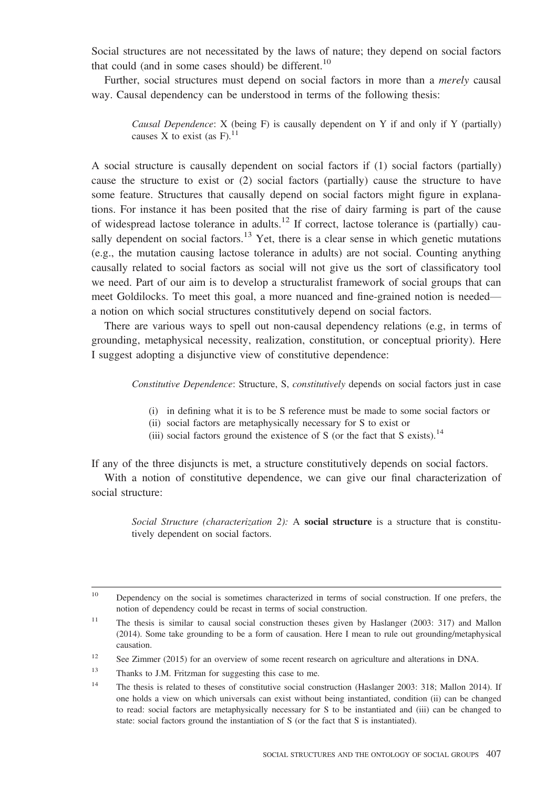Social structures are not necessitated by the laws of nature; they depend on social factors that could (and in some cases should) be different. $10$ 

Further, social structures must depend on social factors in more than a merely causal way. Causal dependency can be understood in terms of the following thesis:

Causal Dependence:  $X$  (being F) is causally dependent on Y if and only if Y (partially) causes X to exist (as  $F$ ).<sup>11</sup>

A social structure is causally dependent on social factors if (1) social factors (partially) cause the structure to exist or (2) social factors (partially) cause the structure to have some feature. Structures that causally depend on social factors might figure in explanations. For instance it has been posited that the rise of dairy farming is part of the cause of widespread lactose tolerance in adults.<sup>12</sup> If correct, lactose tolerance is (partially) causally dependent on social factors.<sup>13</sup> Yet, there is a clear sense in which genetic mutations (e.g., the mutation causing lactose tolerance in adults) are not social. Counting anything causally related to social factors as social will not give us the sort of classificatory tool we need. Part of our aim is to develop a structuralist framework of social groups that can meet Goldilocks. To meet this goal, a more nuanced and fine-grained notion is needed a notion on which social structures constitutively depend on social factors.

There are various ways to spell out non-causal dependency relations (e.g, in terms of grounding, metaphysical necessity, realization, constitution, or conceptual priority). Here I suggest adopting a disjunctive view of constitutive dependence:

Constitutive Dependence: Structure, S, constitutively depends on social factors just in case

- (i) in defining what it is to be S reference must be made to some social factors or
- (ii) social factors are metaphysically necessary for S to exist or
- (iii) social factors ground the existence of S (or the fact that S exists).<sup>14</sup>

If any of the three disjuncts is met, a structure constitutively depends on social factors.

With a notion of constitutive dependence, we can give our final characterization of social structure:

Social Structure (characterization 2): A **social structure** is a structure that is constitutively dependent on social factors.

<sup>&</sup>lt;sup>10</sup> Dependency on the social is sometimes characterized in terms of social construction. If one prefers, the notion of dependency could be recast in terms of social construction.

<sup>&</sup>lt;sup>11</sup> The thesis is similar to causal social construction theses given by Haslanger (2003: 317) and Mallon (2014). Some take grounding to be a form of causation. Here I mean to rule out grounding/metaphysical causation.

<sup>&</sup>lt;sup>12</sup> See Zimmer (2015) for an overview of some recent research on agriculture and alterations in DNA.

<sup>13</sup> Thanks to J.M. Fritzman for suggesting this case to me.

<sup>&</sup>lt;sup>14</sup> The thesis is related to theses of constitutive social construction (Haslanger 2003: 318; Mallon 2014). If one holds a view on which universals can exist without being instantiated, condition (ii) can be changed to read: social factors are metaphysically necessary for S to be instantiated and (iii) can be changed to state: social factors ground the instantiation of S (or the fact that S is instantiated).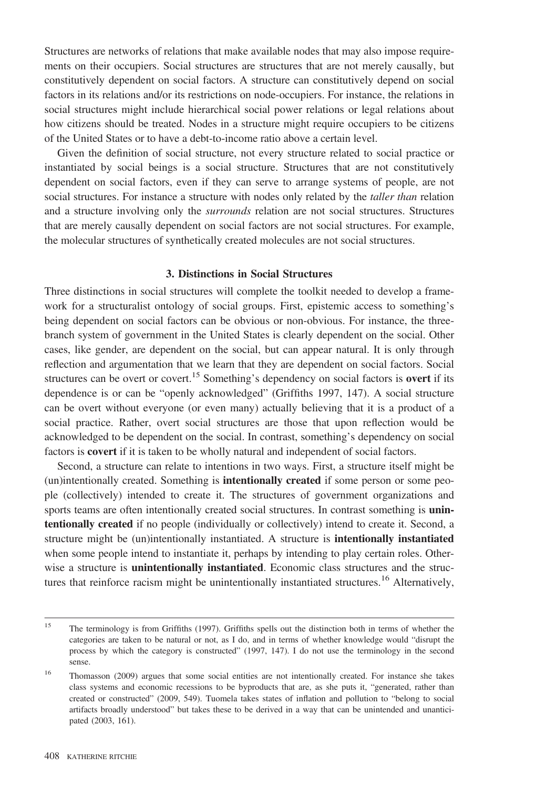Structures are networks of relations that make available nodes that may also impose requirements on their occupiers. Social structures are structures that are not merely causally, but constitutively dependent on social factors. A structure can constitutively depend on social factors in its relations and/or its restrictions on node-occupiers. For instance, the relations in social structures might include hierarchical social power relations or legal relations about how citizens should be treated. Nodes in a structure might require occupiers to be citizens of the United States or to have a debt-to-income ratio above a certain level.

Given the definition of social structure, not every structure related to social practice or instantiated by social beings is a social structure. Structures that are not constitutively dependent on social factors, even if they can serve to arrange systems of people, are not social structures. For instance a structure with nodes only related by the *taller than* relation and a structure involving only the surrounds relation are not social structures. Structures that are merely causally dependent on social factors are not social structures. For example, the molecular structures of synthetically created molecules are not social structures.

## 3. Distinctions in Social Structures

Three distinctions in social structures will complete the toolkit needed to develop a framework for a structuralist ontology of social groups. First, epistemic access to something's being dependent on social factors can be obvious or non-obvious. For instance, the threebranch system of government in the United States is clearly dependent on the social. Other cases, like gender, are dependent on the social, but can appear natural. It is only through reflection and argumentation that we learn that they are dependent on social factors. Social structures can be overt or covert.<sup>15</sup> Something's dependency on social factors is **overt** if its dependence is or can be "openly acknowledged" (Griffiths 1997, 147). A social structure can be overt without everyone (or even many) actually believing that it is a product of a social practice. Rather, overt social structures are those that upon reflection would be acknowledged to be dependent on the social. In contrast, something's dependency on social factors is covert if it is taken to be wholly natural and independent of social factors.

Second, a structure can relate to intentions in two ways. First, a structure itself might be (un)intentionally created. Something is intentionally created if some person or some people (collectively) intended to create it. The structures of government organizations and sports teams are often intentionally created social structures. In contrast something is **unin**tentionally created if no people (individually or collectively) intend to create it. Second, a structure might be (un)intentionally instantiated. A structure is intentionally instantiated when some people intend to instantiate it, perhaps by intending to play certain roles. Otherwise a structure is unintentionally instantiated. Economic class structures and the structures that reinforce racism might be unintentionally instantiated structures.<sup>16</sup> Alternatively,

<sup>&</sup>lt;sup>15</sup> The terminology is from Griffiths (1997). Griffiths spells out the distinction both in terms of whether the categories are taken to be natural or not, as I do, and in terms of whether knowledge would "disrupt the process by which the category is constructed" (1997, 147). I do not use the terminology in the second sense.

<sup>&</sup>lt;sup>16</sup> Thomasson (2009) argues that some social entities are not intentionally created. For instance she takes class systems and economic recessions to be byproducts that are, as she puts it, "generated, rather than created or constructed" (2009, 549). Tuomela takes states of inflation and pollution to "belong to social artifacts broadly understood" but takes these to be derived in a way that can be unintended and unanticipated (2003, 161).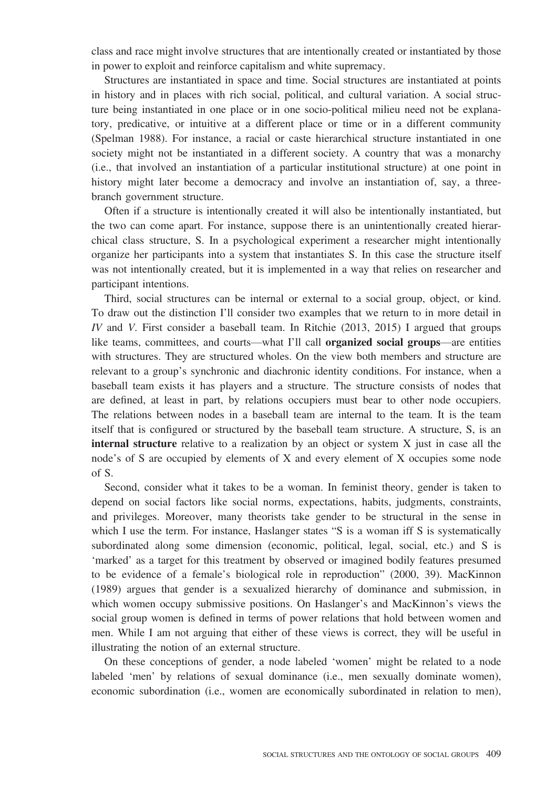class and race might involve structures that are intentionally created or instantiated by those in power to exploit and reinforce capitalism and white supremacy.

Structures are instantiated in space and time. Social structures are instantiated at points in history and in places with rich social, political, and cultural variation. A social structure being instantiated in one place or in one socio-political milieu need not be explanatory, predicative, or intuitive at a different place or time or in a different community (Spelman 1988). For instance, a racial or caste hierarchical structure instantiated in one society might not be instantiated in a different society. A country that was a monarchy (i.e., that involved an instantiation of a particular institutional structure) at one point in history might later become a democracy and involve an instantiation of, say, a threebranch government structure.

Often if a structure is intentionally created it will also be intentionally instantiated, but the two can come apart. For instance, suppose there is an unintentionally created hierarchical class structure, S. In a psychological experiment a researcher might intentionally organize her participants into a system that instantiates S. In this case the structure itself was not intentionally created, but it is implemented in a way that relies on researcher and participant intentions.

Third, social structures can be internal or external to a social group, object, or kind. To draw out the distinction I'll consider two examples that we return to in more detail in IV and V. First consider a baseball team. In Ritchie  $(2013, 2015)$  I argued that groups like teams, committees, and courts—what I'll call organized social groups—are entities with structures. They are structured wholes. On the view both members and structure are relevant to a group's synchronic and diachronic identity conditions. For instance, when a baseball team exists it has players and a structure. The structure consists of nodes that are defined, at least in part, by relations occupiers must bear to other node occupiers. The relations between nodes in a baseball team are internal to the team. It is the team itself that is configured or structured by the baseball team structure. A structure, S, is an **internal structure** relative to a realization by an object or system  $X$  just in case all the node's of S are occupied by elements of X and every element of X occupies some node of S.

Second, consider what it takes to be a woman. In feminist theory, gender is taken to depend on social factors like social norms, expectations, habits, judgments, constraints, and privileges. Moreover, many theorists take gender to be structural in the sense in which I use the term. For instance, Haslanger states "S is a woman iff S is systematically subordinated along some dimension (economic, political, legal, social, etc.) and S is 'marked' as a target for this treatment by observed or imagined bodily features presumed to be evidence of a female's biological role in reproduction" (2000, 39). MacKinnon (1989) argues that gender is a sexualized hierarchy of dominance and submission, in which women occupy submissive positions. On Haslanger's and MacKinnon's views the social group women is defined in terms of power relations that hold between women and men. While I am not arguing that either of these views is correct, they will be useful in illustrating the notion of an external structure.

On these conceptions of gender, a node labeled 'women' might be related to a node labeled 'men' by relations of sexual dominance (i.e., men sexually dominate women), economic subordination (i.e., women are economically subordinated in relation to men),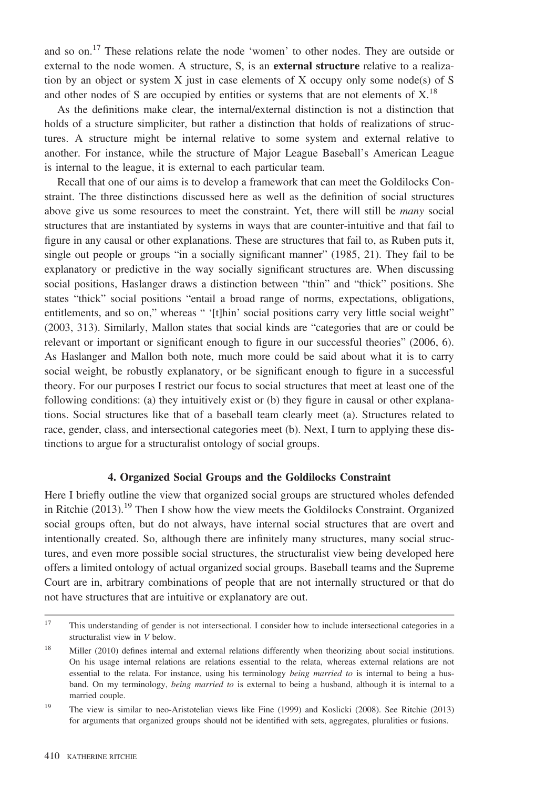and so on.<sup>17</sup> These relations relate the node 'women' to other nodes. They are outside or external to the node women. A structure, S, is an **external structure** relative to a realization by an object or system X just in case elements of X occupy only some node(s) of S and other nodes of S are occupied by entities or systems that are not elements of  $X<sup>18</sup>$ 

As the definitions make clear, the internal/external distinction is not a distinction that holds of a structure simpliciter, but rather a distinction that holds of realizations of structures. A structure might be internal relative to some system and external relative to another. For instance, while the structure of Major League Baseball's American League is internal to the league, it is external to each particular team.

Recall that one of our aims is to develop a framework that can meet the Goldilocks Constraint. The three distinctions discussed here as well as the definition of social structures above give us some resources to meet the constraint. Yet, there will still be many social structures that are instantiated by systems in ways that are counter-intuitive and that fail to figure in any causal or other explanations. These are structures that fail to, as Ruben puts it, single out people or groups "in a socially significant manner" (1985, 21). They fail to be explanatory or predictive in the way socially significant structures are. When discussing social positions, Haslanger draws a distinction between "thin" and "thick" positions. She states "thick" social positions "entail a broad range of norms, expectations, obligations, entitlements, and so on," whereas " '[t]hin' social positions carry very little social weight" (2003, 313). Similarly, Mallon states that social kinds are "categories that are or could be relevant or important or significant enough to figure in our successful theories" (2006, 6). As Haslanger and Mallon both note, much more could be said about what it is to carry social weight, be robustly explanatory, or be significant enough to figure in a successful theory. For our purposes I restrict our focus to social structures that meet at least one of the following conditions: (a) they intuitively exist or (b) they figure in causal or other explanations. Social structures like that of a baseball team clearly meet (a). Structures related to race, gender, class, and intersectional categories meet (b). Next, I turn to applying these distinctions to argue for a structuralist ontology of social groups.

#### 4. Organized Social Groups and the Goldilocks Constraint

Here I briefly outline the view that organized social groups are structured wholes defended in Ritchie (2013).<sup>19</sup> Then I show how the view meets the Goldilocks Constraint. Organized social groups often, but do not always, have internal social structures that are overt and intentionally created. So, although there are infinitely many structures, many social structures, and even more possible social structures, the structuralist view being developed here offers a limited ontology of actual organized social groups. Baseball teams and the Supreme Court are in, arbitrary combinations of people that are not internally structured or that do not have structures that are intuitive or explanatory are out.

<sup>&</sup>lt;sup>17</sup> This understanding of gender is not intersectional. I consider how to include intersectional categories in a structuralist view in V below.

<sup>&</sup>lt;sup>18</sup> Miller (2010) defines internal and external relations differently when theorizing about social institutions. On his usage internal relations are relations essential to the relata, whereas external relations are not essential to the relata. For instance, using his terminology *being married to* is internal to being a husband. On my terminology, being married to is external to being a husband, although it is internal to a married couple.

<sup>19</sup> The view is similar to neo-Aristotelian views like Fine (1999) and Koslicki (2008). See Ritchie (2013) for arguments that organized groups should not be identified with sets, aggregates, pluralities or fusions.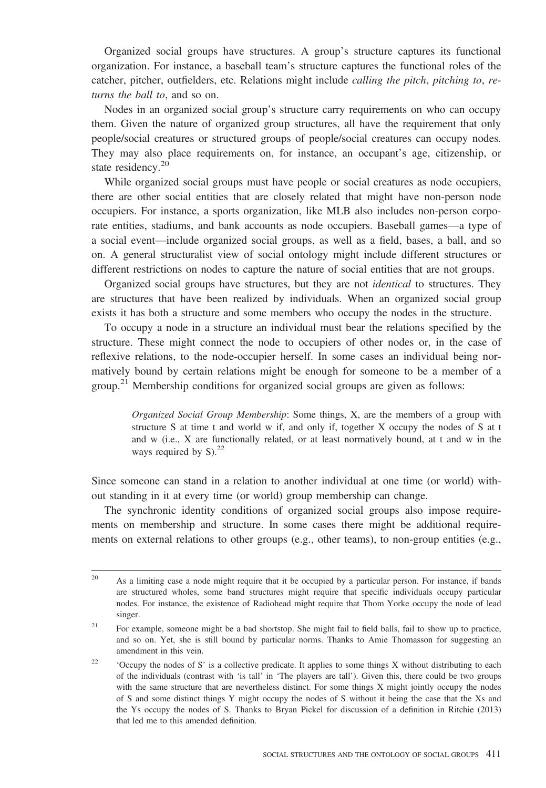Organized social groups have structures. A group's structure captures its functional organization. For instance, a baseball team's structure captures the functional roles of the catcher, pitcher, outfielders, etc. Relations might include calling the pitch, pitching to, returns the ball to, and so on.

Nodes in an organized social group's structure carry requirements on who can occupy them. Given the nature of organized group structures, all have the requirement that only people/social creatures or structured groups of people/social creatures can occupy nodes. They may also place requirements on, for instance, an occupant's age, citizenship, or state residency.<sup>20</sup>

While organized social groups must have people or social creatures as node occupiers, there are other social entities that are closely related that might have non-person node occupiers. For instance, a sports organization, like MLB also includes non-person corporate entities, stadiums, and bank accounts as node occupiers. Baseball games—a type of a social event—include organized social groups, as well as a field, bases, a ball, and so on. A general structuralist view of social ontology might include different structures or different restrictions on nodes to capture the nature of social entities that are not groups.

Organized social groups have structures, but they are not identical to structures. They are structures that have been realized by individuals. When an organized social group exists it has both a structure and some members who occupy the nodes in the structure.

To occupy a node in a structure an individual must bear the relations specified by the structure. These might connect the node to occupiers of other nodes or, in the case of reflexive relations, to the node-occupier herself. In some cases an individual being normatively bound by certain relations might be enough for someone to be a member of a group.<sup>21</sup> Membership conditions for organized social groups are given as follows:

Organized Social Group Membership: Some things, X, are the members of a group with structure S at time t and world w if, and only if, together X occupy the nodes of S at t and w (i.e., X are functionally related, or at least normatively bound, at t and w in the ways required by  $S^{22}$ 

Since someone can stand in a relation to another individual at one time (or world) without standing in it at every time (or world) group membership can change.

The synchronic identity conditions of organized social groups also impose requirements on membership and structure. In some cases there might be additional requirements on external relations to other groups (e.g., other teams), to non-group entities (e.g.,

<sup>&</sup>lt;sup>20</sup> As a limiting case a node might require that it be occupied by a particular person. For instance, if bands are structured wholes, some band structures might require that specific individuals occupy particular nodes. For instance, the existence of Radiohead might require that Thom Yorke occupy the node of lead singer.

<sup>&</sup>lt;sup>21</sup> For example, someone might be a bad shortstop. She might fail to field balls, fail to show up to practice, and so on. Yet, she is still bound by particular norms. Thanks to Amie Thomasson for suggesting an amendment in this vein.

<sup>&</sup>lt;sup>22</sup> 'Occupy the nodes of S' is a collective predicate. It applies to some things X without distributing to each of the individuals (contrast with 'is tall' in 'The players are tall'). Given this, there could be two groups with the same structure that are nevertheless distinct. For some things X might jointly occupy the nodes of S and some distinct things Y might occupy the nodes of S without it being the case that the Xs and the Ys occupy the nodes of S. Thanks to Bryan Pickel for discussion of a definition in Ritchie (2013) that led me to this amended definition.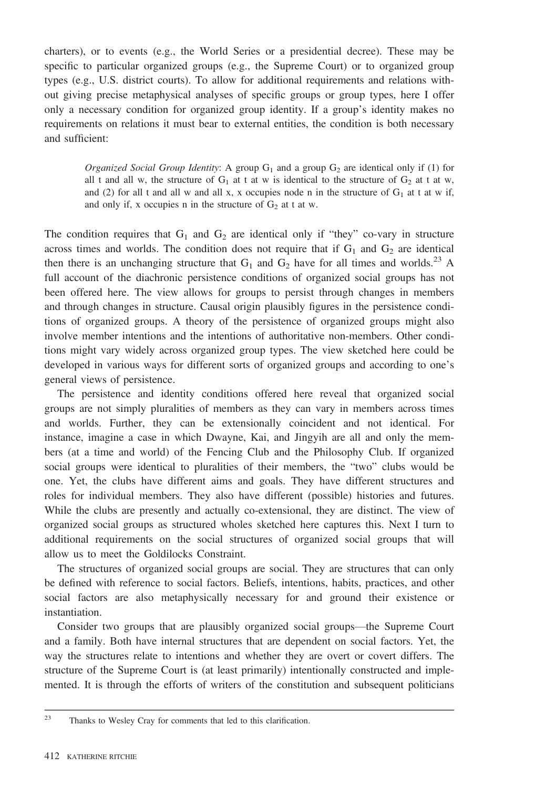charters), or to events (e.g., the World Series or a presidential decree). These may be specific to particular organized groups (e.g., the Supreme Court) or to organized group types (e.g., U.S. district courts). To allow for additional requirements and relations without giving precise metaphysical analyses of specific groups or group types, here I offer only a necessary condition for organized group identity. If a group's identity makes no requirements on relations it must bear to external entities, the condition is both necessary and sufficient:

Organized Social Group Identity: A group  $G_1$  and a group  $G_2$  are identical only if (1) for all t and all w, the structure of  $G_1$  at t at w is identical to the structure of  $G_2$  at t at w, and (2) for all t and all w and all x, x occupies node n in the structure of  $G_1$  at t at w if, and only if, x occupies n in the structure of  $G_2$  at t at w.

The condition requires that  $G_1$  and  $G_2$  are identical only if "they" co-vary in structure across times and worlds. The condition does not require that if  $G_1$  and  $G_2$  are identical then there is an unchanging structure that  $G_1$  and  $G_2$  have for all times and worlds.<sup>23</sup> A full account of the diachronic persistence conditions of organized social groups has not been offered here. The view allows for groups to persist through changes in members and through changes in structure. Causal origin plausibly figures in the persistence conditions of organized groups. A theory of the persistence of organized groups might also involve member intentions and the intentions of authoritative non-members. Other conditions might vary widely across organized group types. The view sketched here could be developed in various ways for different sorts of organized groups and according to one's general views of persistence.

The persistence and identity conditions offered here reveal that organized social groups are not simply pluralities of members as they can vary in members across times and worlds. Further, they can be extensionally coincident and not identical. For instance, imagine a case in which Dwayne, Kai, and Jingyih are all and only the members (at a time and world) of the Fencing Club and the Philosophy Club. If organized social groups were identical to pluralities of their members, the "two" clubs would be one. Yet, the clubs have different aims and goals. They have different structures and roles for individual members. They also have different (possible) histories and futures. While the clubs are presently and actually co-extensional, they are distinct. The view of organized social groups as structured wholes sketched here captures this. Next I turn to additional requirements on the social structures of organized social groups that will allow us to meet the Goldilocks Constraint.

The structures of organized social groups are social. They are structures that can only be defined with reference to social factors. Beliefs, intentions, habits, practices, and other social factors are also metaphysically necessary for and ground their existence or instantiation.

Consider two groups that are plausibly organized social groups—the Supreme Court and a family. Both have internal structures that are dependent on social factors. Yet, the way the structures relate to intentions and whether they are overt or covert differs. The structure of the Supreme Court is (at least primarily) intentionally constructed and implemented. It is through the efforts of writers of the constitution and subsequent politicians

<sup>23</sup> Thanks to Wesley Cray for comments that led to this clarification.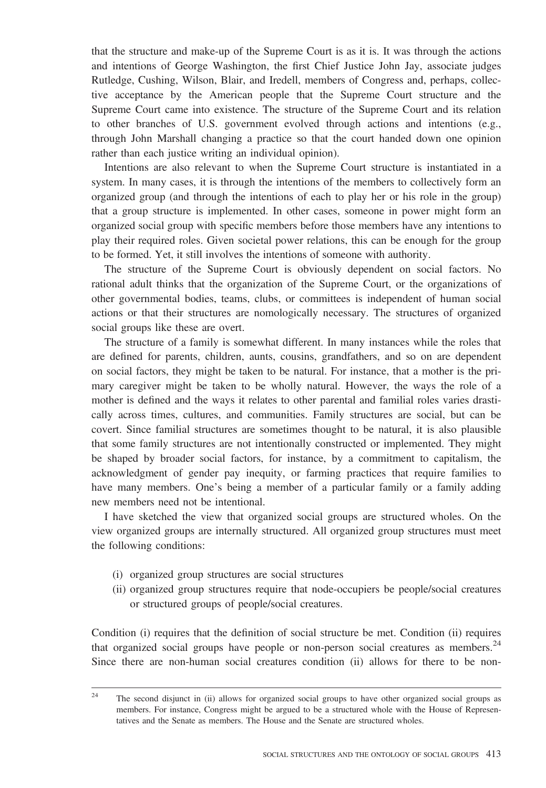that the structure and make-up of the Supreme Court is as it is. It was through the actions and intentions of George Washington, the first Chief Justice John Jay, associate judges Rutledge, Cushing, Wilson, Blair, and Iredell, members of Congress and, perhaps, collective acceptance by the American people that the Supreme Court structure and the Supreme Court came into existence. The structure of the Supreme Court and its relation to other branches of U.S. government evolved through actions and intentions (e.g., through John Marshall changing a practice so that the court handed down one opinion rather than each justice writing an individual opinion).

Intentions are also relevant to when the Supreme Court structure is instantiated in a system. In many cases, it is through the intentions of the members to collectively form an organized group (and through the intentions of each to play her or his role in the group) that a group structure is implemented. In other cases, someone in power might form an organized social group with specific members before those members have any intentions to play their required roles. Given societal power relations, this can be enough for the group to be formed. Yet, it still involves the intentions of someone with authority.

The structure of the Supreme Court is obviously dependent on social factors. No rational adult thinks that the organization of the Supreme Court, or the organizations of other governmental bodies, teams, clubs, or committees is independent of human social actions or that their structures are nomologically necessary. The structures of organized social groups like these are overt.

The structure of a family is somewhat different. In many instances while the roles that are defined for parents, children, aunts, cousins, grandfathers, and so on are dependent on social factors, they might be taken to be natural. For instance, that a mother is the primary caregiver might be taken to be wholly natural. However, the ways the role of a mother is defined and the ways it relates to other parental and familial roles varies drastically across times, cultures, and communities. Family structures are social, but can be covert. Since familial structures are sometimes thought to be natural, it is also plausible that some family structures are not intentionally constructed or implemented. They might be shaped by broader social factors, for instance, by a commitment to capitalism, the acknowledgment of gender pay inequity, or farming practices that require families to have many members. One's being a member of a particular family or a family adding new members need not be intentional.

I have sketched the view that organized social groups are structured wholes. On the view organized groups are internally structured. All organized group structures must meet the following conditions:

- (i) organized group structures are social structures
- (ii) organized group structures require that node-occupiers be people/social creatures or structured groups of people/social creatures.

Condition (i) requires that the definition of social structure be met. Condition (ii) requires that organized social groups have people or non-person social creatures as members. $24$ Since there are non-human social creatures condition (ii) allows for there to be non-

<sup>&</sup>lt;sup>24</sup> The second disjunct in (ii) allows for organized social groups to have other organized social groups as members. For instance, Congress might be argued to be a structured whole with the House of Representatives and the Senate as members. The House and the Senate are structured wholes.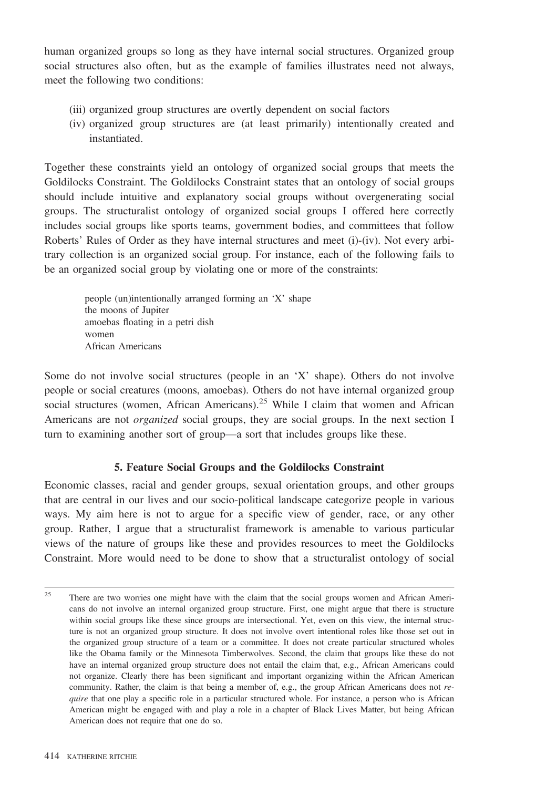human organized groups so long as they have internal social structures. Organized group social structures also often, but as the example of families illustrates need not always, meet the following two conditions:

- (iii) organized group structures are overtly dependent on social factors
- (iv) organized group structures are (at least primarily) intentionally created and instantiated.

Together these constraints yield an ontology of organized social groups that meets the Goldilocks Constraint. The Goldilocks Constraint states that an ontology of social groups should include intuitive and explanatory social groups without overgenerating social groups. The structuralist ontology of organized social groups I offered here correctly includes social groups like sports teams, government bodies, and committees that follow Roberts' Rules of Order as they have internal structures and meet (i)-(iv). Not every arbitrary collection is an organized social group. For instance, each of the following fails to be an organized social group by violating one or more of the constraints:

people (un)intentionally arranged forming an 'X' shape the moons of Jupiter amoebas floating in a petri dish women African Americans

Some do not involve social structures (people in an 'X' shape). Others do not involve people or social creatures (moons, amoebas). Others do not have internal organized group social structures (women, African Americans).<sup>25</sup> While I claim that women and African Americans are not organized social groups, they are social groups. In the next section I turn to examining another sort of group—a sort that includes groups like these.

# 5. Feature Social Groups and the Goldilocks Constraint

Economic classes, racial and gender groups, sexual orientation groups, and other groups that are central in our lives and our socio-political landscape categorize people in various ways. My aim here is not to argue for a specific view of gender, race, or any other group. Rather, I argue that a structuralist framework is amenable to various particular views of the nature of groups like these and provides resources to meet the Goldilocks Constraint. More would need to be done to show that a structuralist ontology of social

<sup>&</sup>lt;sup>25</sup> There are two worries one might have with the claim that the social groups women and African Americans do not involve an internal organized group structure. First, one might argue that there is structure within social groups like these since groups are intersectional. Yet, even on this view, the internal structure is not an organized group structure. It does not involve overt intentional roles like those set out in the organized group structure of a team or a committee. It does not create particular structured wholes like the Obama family or the Minnesota Timberwolves. Second, the claim that groups like these do not have an internal organized group structure does not entail the claim that, e.g., African Americans could not organize. Clearly there has been significant and important organizing within the African American community. Rather, the claim is that being a member of, e.g., the group African Americans does not require that one play a specific role in a particular structured whole. For instance, a person who is African American might be engaged with and play a role in a chapter of Black Lives Matter, but being African American does not require that one do so.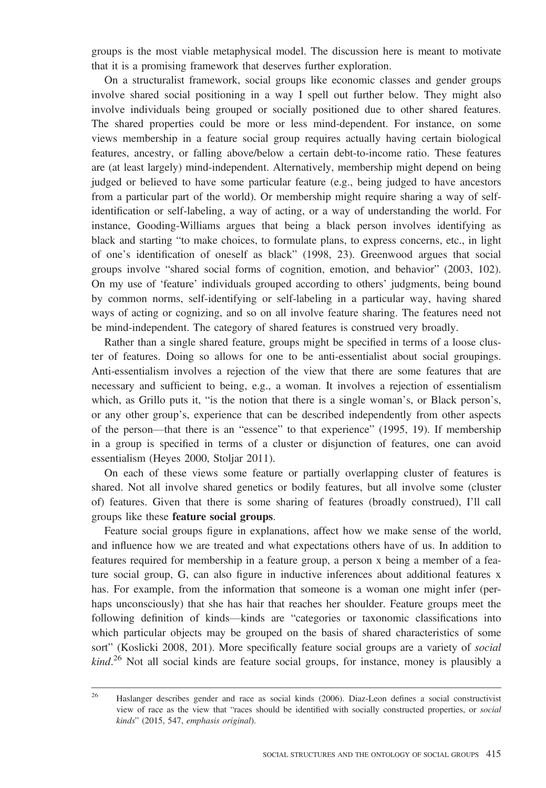groups is the most viable metaphysical model. The discussion here is meant to motivate that it is a promising framework that deserves further exploration.

On a structuralist framework, social groups like economic classes and gender groups involve shared social positioning in a way I spell out further below. They might also involve individuals being grouped or socially positioned due to other shared features. The shared properties could be more or less mind-dependent. For instance, on some views membership in a feature social group requires actually having certain biological features, ancestry, or falling above/below a certain debt-to-income ratio. These features are (at least largely) mind-independent. Alternatively, membership might depend on being judged or believed to have some particular feature (e.g., being judged to have ancestors from a particular part of the world). Or membership might require sharing a way of selfidentification or self-labeling, a way of acting, or a way of understanding the world. For instance, Gooding-Williams argues that being a black person involves identifying as black and starting "to make choices, to formulate plans, to express concerns, etc., in light of one's identification of oneself as black" (1998, 23). Greenwood argues that social groups involve "shared social forms of cognition, emotion, and behavior" (2003, 102). On my use of 'feature' individuals grouped according to others' judgments, being bound by common norms, self-identifying or self-labeling in a particular way, having shared ways of acting or cognizing, and so on all involve feature sharing. The features need not be mind-independent. The category of shared features is construed very broadly.

Rather than a single shared feature, groups might be specified in terms of a loose cluster of features. Doing so allows for one to be anti-essentialist about social groupings. Anti-essentialism involves a rejection of the view that there are some features that are necessary and sufficient to being, e.g., a woman. It involves a rejection of essentialism which, as Grillo puts it, "is the notion that there is a single woman's, or Black person's, or any other group's, experience that can be described independently from other aspects of the person—that there is an "essence" to that experience" (1995, 19). If membership in a group is specified in terms of a cluster or disjunction of features, one can avoid essentialism (Heyes 2000, Stoljar 2011).

On each of these views some feature or partially overlapping cluster of features is shared. Not all involve shared genetics or bodily features, but all involve some (cluster of) features. Given that there is some sharing of features (broadly construed), I'll call groups like these feature social groups.

Feature social groups figure in explanations, affect how we make sense of the world, and influence how we are treated and what expectations others have of us. In addition to features required for membership in a feature group, a person x being a member of a feature social group, G, can also figure in inductive inferences about additional features x has. For example, from the information that someone is a woman one might infer (perhaps unconsciously) that she has hair that reaches her shoulder. Feature groups meet the following definition of kinds—kinds are "categories or taxonomic classifications into which particular objects may be grouped on the basis of shared characteristics of some sort" (Koslicki 2008, 201). More specifically feature social groups are a variety of social kind.<sup>26</sup> Not all social kinds are feature social groups, for instance, money is plausibly a

<sup>26</sup> Haslanger describes gender and race as social kinds (2006). Diaz-Leon defines a social constructivist view of race as the view that "races should be identified with socially constructed properties, or social kinds" (2015, 547, emphasis original).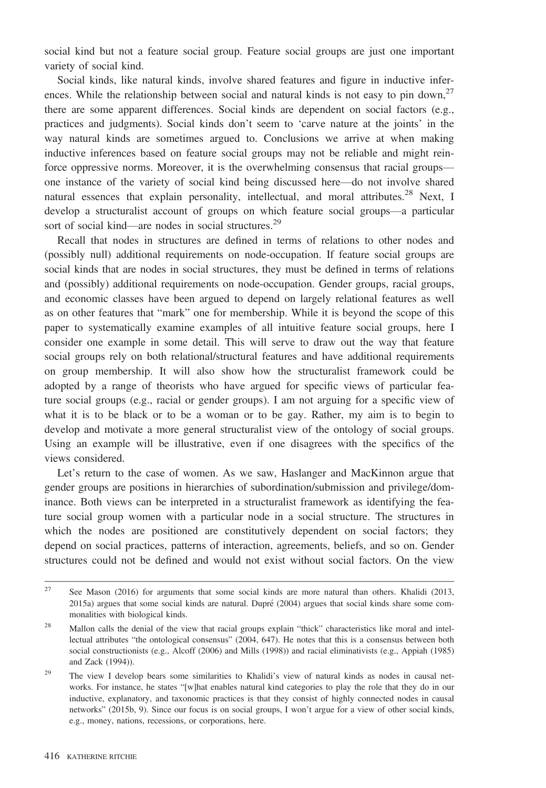social kind but not a feature social group. Feature social groups are just one important variety of social kind.

Social kinds, like natural kinds, involve shared features and figure in inductive inferences. While the relationship between social and natural kinds is not easy to pin down, $^{27}$ there are some apparent differences. Social kinds are dependent on social factors (e.g., practices and judgments). Social kinds don't seem to 'carve nature at the joints' in the way natural kinds are sometimes argued to. Conclusions we arrive at when making inductive inferences based on feature social groups may not be reliable and might reinforce oppressive norms. Moreover, it is the overwhelming consensus that racial groups one instance of the variety of social kind being discussed here—do not involve shared natural essences that explain personality, intellectual, and moral attributes.<sup>28</sup> Next, I develop a structuralist account of groups on which feature social groups—a particular sort of social kind—are nodes in social structures.<sup>29</sup>

Recall that nodes in structures are defined in terms of relations to other nodes and (possibly null) additional requirements on node-occupation. If feature social groups are social kinds that are nodes in social structures, they must be defined in terms of relations and (possibly) additional requirements on node-occupation. Gender groups, racial groups, and economic classes have been argued to depend on largely relational features as well as on other features that "mark" one for membership. While it is beyond the scope of this paper to systematically examine examples of all intuitive feature social groups, here I consider one example in some detail. This will serve to draw out the way that feature social groups rely on both relational/structural features and have additional requirements on group membership. It will also show how the structuralist framework could be adopted by a range of theorists who have argued for specific views of particular feature social groups (e.g., racial or gender groups). I am not arguing for a specific view of what it is to be black or to be a woman or to be gay. Rather, my aim is to begin to develop and motivate a more general structuralist view of the ontology of social groups. Using an example will be illustrative, even if one disagrees with the specifics of the views considered.

Let's return to the case of women. As we saw, Haslanger and MacKinnon argue that gender groups are positions in hierarchies of subordination/submission and privilege/dominance. Both views can be interpreted in a structuralist framework as identifying the feature social group women with a particular node in a social structure. The structures in which the nodes are positioned are constitutively dependent on social factors; they depend on social practices, patterns of interaction, agreements, beliefs, and so on. Gender structures could not be defined and would not exist without social factors. On the view

<sup>&</sup>lt;sup>27</sup> See Mason (2016) for arguments that some social kinds are more natural than others. Khalidi (2013, 2015a) argues that some social kinds are natural. Dupré (2004) argues that social kinds share some commonalities with biological kinds.

<sup>&</sup>lt;sup>28</sup> Mallon calls the denial of the view that racial groups explain "thick" characteristics like moral and intellectual attributes "the ontological consensus" (2004, 647). He notes that this is a consensus between both social constructionists (e.g., Alcoff (2006) and Mills (1998)) and racial eliminativists (e.g., Appiah (1985) and Zack (1994)).

<sup>&</sup>lt;sup>29</sup> The view I develop bears some similarities to Khalidi's view of natural kinds as nodes in causal networks. For instance, he states "[w]hat enables natural kind categories to play the role that they do in our inductive, explanatory, and taxonomic practices is that they consist of highly connected nodes in causal networks" (2015b, 9). Since our focus is on social groups, I won't argue for a view of other social kinds, e.g., money, nations, recessions, or corporations, here.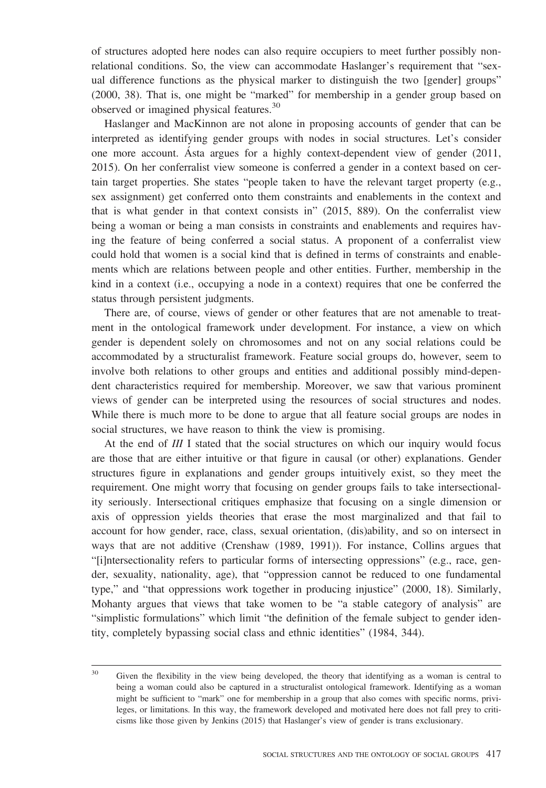of structures adopted here nodes can also require occupiers to meet further possibly nonrelational conditions. So, the view can accommodate Haslanger's requirement that "sexual difference functions as the physical marker to distinguish the two [gender] groups" (2000, 38). That is, one might be "marked" for membership in a gender group based on observed or imagined physical features.<sup>30</sup>

Haslanger and MacKinnon are not alone in proposing accounts of gender that can be interpreted as identifying gender groups with nodes in social structures. Let's consider one more account. Ásta argues for a highly context-dependent view of gender (2011, 2015). On her conferralist view someone is conferred a gender in a context based on certain target properties. She states "people taken to have the relevant target property (e.g., sex assignment) get conferred onto them constraints and enablements in the context and that is what gender in that context consists in" (2015, 889). On the conferralist view being a woman or being a man consists in constraints and enablements and requires having the feature of being conferred a social status. A proponent of a conferralist view could hold that women is a social kind that is defined in terms of constraints and enablements which are relations between people and other entities. Further, membership in the kind in a context (i.e., occupying a node in a context) requires that one be conferred the status through persistent judgments.

There are, of course, views of gender or other features that are not amenable to treatment in the ontological framework under development. For instance, a view on which gender is dependent solely on chromosomes and not on any social relations could be accommodated by a structuralist framework. Feature social groups do, however, seem to involve both relations to other groups and entities and additional possibly mind-dependent characteristics required for membership. Moreover, we saw that various prominent views of gender can be interpreted using the resources of social structures and nodes. While there is much more to be done to argue that all feature social groups are nodes in social structures, we have reason to think the view is promising.

At the end of III I stated that the social structures on which our inquiry would focus are those that are either intuitive or that figure in causal (or other) explanations. Gender structures figure in explanations and gender groups intuitively exist, so they meet the requirement. One might worry that focusing on gender groups fails to take intersectionality seriously. Intersectional critiques emphasize that focusing on a single dimension or axis of oppression yields theories that erase the most marginalized and that fail to account for how gender, race, class, sexual orientation, (dis)ability, and so on intersect in ways that are not additive (Crenshaw (1989, 1991)). For instance, Collins argues that "[i]ntersectionality refers to particular forms of intersecting oppressions" (e.g., race, gender, sexuality, nationality, age), that "oppression cannot be reduced to one fundamental type," and "that oppressions work together in producing injustice" (2000, 18). Similarly, Mohanty argues that views that take women to be "a stable category of analysis" are "simplistic formulations" which limit "the definition of the female subject to gender identity, completely bypassing social class and ethnic identities" (1984, 344).

<sup>&</sup>lt;sup>30</sup> Given the flexibility in the view being developed, the theory that identifying as a woman is central to being a woman could also be captured in a structuralist ontological framework. Identifying as a woman might be sufficient to "mark" one for membership in a group that also comes with specific norms, privileges, or limitations. In this way, the framework developed and motivated here does not fall prey to criticisms like those given by Jenkins (2015) that Haslanger's view of gender is trans exclusionary.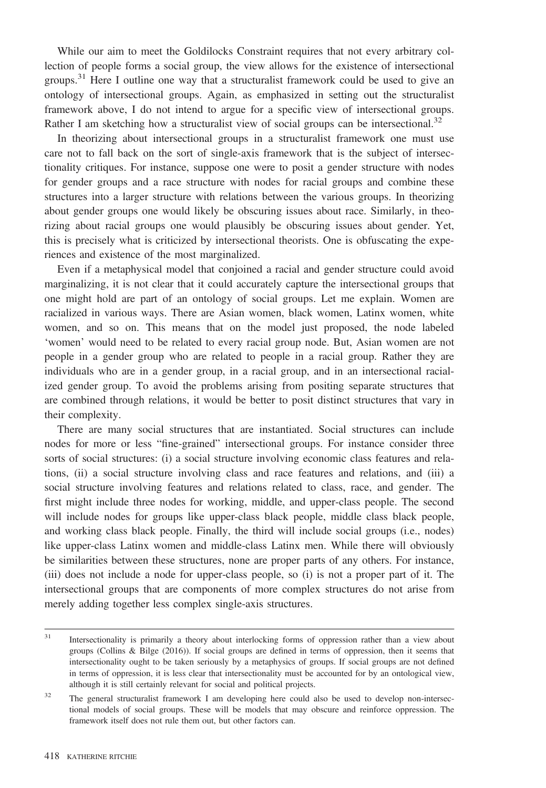While our aim to meet the Goldilocks Constraint requires that not every arbitrary collection of people forms a social group, the view allows for the existence of intersectional groups.<sup>31</sup> Here I outline one way that a structuralist framework could be used to give an ontology of intersectional groups. Again, as emphasized in setting out the structuralist framework above, I do not intend to argue for a specific view of intersectional groups. Rather I am sketching how a structuralist view of social groups can be intersectional.<sup>32</sup>

In theorizing about intersectional groups in a structuralist framework one must use care not to fall back on the sort of single-axis framework that is the subject of intersectionality critiques. For instance, suppose one were to posit a gender structure with nodes for gender groups and a race structure with nodes for racial groups and combine these structures into a larger structure with relations between the various groups. In theorizing about gender groups one would likely be obscuring issues about race. Similarly, in theorizing about racial groups one would plausibly be obscuring issues about gender. Yet, this is precisely what is criticized by intersectional theorists. One is obfuscating the experiences and existence of the most marginalized.

Even if a metaphysical model that conjoined a racial and gender structure could avoid marginalizing, it is not clear that it could accurately capture the intersectional groups that one might hold are part of an ontology of social groups. Let me explain. Women are racialized in various ways. There are Asian women, black women, Latinx women, white women, and so on. This means that on the model just proposed, the node labeled 'women' would need to be related to every racial group node. But, Asian women are not people in a gender group who are related to people in a racial group. Rather they are individuals who are in a gender group, in a racial group, and in an intersectional racialized gender group. To avoid the problems arising from positing separate structures that are combined through relations, it would be better to posit distinct structures that vary in their complexity.

There are many social structures that are instantiated. Social structures can include nodes for more or less "fine-grained" intersectional groups. For instance consider three sorts of social structures: (i) a social structure involving economic class features and relations, (ii) a social structure involving class and race features and relations, and (iii) a social structure involving features and relations related to class, race, and gender. The first might include three nodes for working, middle, and upper-class people. The second will include nodes for groups like upper-class black people, middle class black people, and working class black people. Finally, the third will include social groups (i.e., nodes) like upper-class Latinx women and middle-class Latinx men. While there will obviously be similarities between these structures, none are proper parts of any others. For instance, (iii) does not include a node for upper-class people, so (i) is not a proper part of it. The intersectional groups that are components of more complex structures do not arise from merely adding together less complex single-axis structures.

<sup>&</sup>lt;sup>31</sup> Intersectionality is primarily a theory about interlocking forms of oppression rather than a view about groups (Collins & Bilge (2016)). If social groups are defined in terms of oppression, then it seems that intersectionality ought to be taken seriously by a metaphysics of groups. If social groups are not defined in terms of oppression, it is less clear that intersectionality must be accounted for by an ontological view, although it is still certainly relevant for social and political projects.

<sup>&</sup>lt;sup>32</sup> The general structuralist framework I am developing here could also be used to develop non-intersectional models of social groups. These will be models that may obscure and reinforce oppression. The framework itself does not rule them out, but other factors can.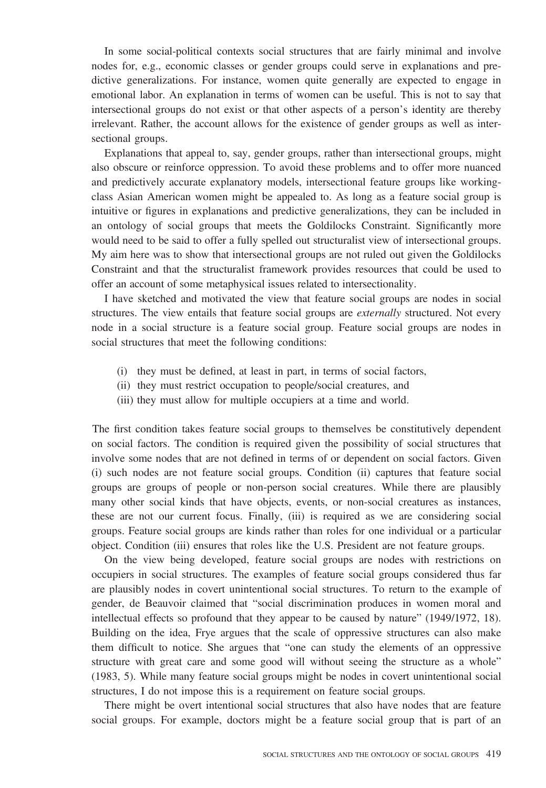In some social-political contexts social structures that are fairly minimal and involve nodes for, e.g., economic classes or gender groups could serve in explanations and predictive generalizations. For instance, women quite generally are expected to engage in emotional labor. An explanation in terms of women can be useful. This is not to say that intersectional groups do not exist or that other aspects of a person's identity are thereby irrelevant. Rather, the account allows for the existence of gender groups as well as intersectional groups.

Explanations that appeal to, say, gender groups, rather than intersectional groups, might also obscure or reinforce oppression. To avoid these problems and to offer more nuanced and predictively accurate explanatory models, intersectional feature groups like workingclass Asian American women might be appealed to. As long as a feature social group is intuitive or figures in explanations and predictive generalizations, they can be included in an ontology of social groups that meets the Goldilocks Constraint. Significantly more would need to be said to offer a fully spelled out structuralist view of intersectional groups. My aim here was to show that intersectional groups are not ruled out given the Goldilocks Constraint and that the structuralist framework provides resources that could be used to offer an account of some metaphysical issues related to intersectionality.

I have sketched and motivated the view that feature social groups are nodes in social structures. The view entails that feature social groups are *externally* structured. Not every node in a social structure is a feature social group. Feature social groups are nodes in social structures that meet the following conditions:

- (i) they must be defined, at least in part, in terms of social factors,
- (ii) they must restrict occupation to people/social creatures, and
- (iii) they must allow for multiple occupiers at a time and world.

The first condition takes feature social groups to themselves be constitutively dependent on social factors. The condition is required given the possibility of social structures that involve some nodes that are not defined in terms of or dependent on social factors. Given (i) such nodes are not feature social groups. Condition (ii) captures that feature social groups are groups of people or non-person social creatures. While there are plausibly many other social kinds that have objects, events, or non-social creatures as instances, these are not our current focus. Finally, (iii) is required as we are considering social groups. Feature social groups are kinds rather than roles for one individual or a particular object. Condition (iii) ensures that roles like the U.S. President are not feature groups.

On the view being developed, feature social groups are nodes with restrictions on occupiers in social structures. The examples of feature social groups considered thus far are plausibly nodes in covert unintentional social structures. To return to the example of gender, de Beauvoir claimed that "social discrimination produces in women moral and intellectual effects so profound that they appear to be caused by nature" (1949/1972, 18). Building on the idea, Frye argues that the scale of oppressive structures can also make them difficult to notice. She argues that "one can study the elements of an oppressive structure with great care and some good will without seeing the structure as a whole" (1983, 5). While many feature social groups might be nodes in covert unintentional social structures, I do not impose this is a requirement on feature social groups.

There might be overt intentional social structures that also have nodes that are feature social groups. For example, doctors might be a feature social group that is part of an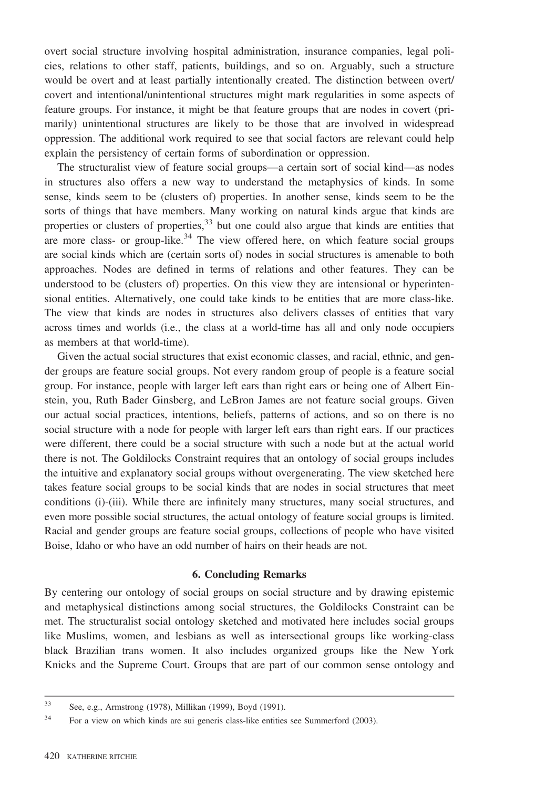overt social structure involving hospital administration, insurance companies, legal policies, relations to other staff, patients, buildings, and so on. Arguably, such a structure would be overt and at least partially intentionally created. The distinction between overt/ covert and intentional/unintentional structures might mark regularities in some aspects of feature groups. For instance, it might be that feature groups that are nodes in covert (primarily) unintentional structures are likely to be those that are involved in widespread oppression. The additional work required to see that social factors are relevant could help explain the persistency of certain forms of subordination or oppression.

The structuralist view of feature social groups—a certain sort of social kind—as nodes in structures also offers a new way to understand the metaphysics of kinds. In some sense, kinds seem to be (clusters of) properties. In another sense, kinds seem to be the sorts of things that have members. Many working on natural kinds argue that kinds are properties or clusters of properties,  $33$  but one could also argue that kinds are entities that are more class- or group-like.<sup>34</sup> The view offered here, on which feature social groups are social kinds which are (certain sorts of) nodes in social structures is amenable to both approaches. Nodes are defined in terms of relations and other features. They can be understood to be (clusters of) properties. On this view they are intensional or hyperintensional entities. Alternatively, one could take kinds to be entities that are more class-like. The view that kinds are nodes in structures also delivers classes of entities that vary across times and worlds (i.e., the class at a world-time has all and only node occupiers as members at that world-time).

Given the actual social structures that exist economic classes, and racial, ethnic, and gender groups are feature social groups. Not every random group of people is a feature social group. For instance, people with larger left ears than right ears or being one of Albert Einstein, you, Ruth Bader Ginsberg, and LeBron James are not feature social groups. Given our actual social practices, intentions, beliefs, patterns of actions, and so on there is no social structure with a node for people with larger left ears than right ears. If our practices were different, there could be a social structure with such a node but at the actual world there is not. The Goldilocks Constraint requires that an ontology of social groups includes the intuitive and explanatory social groups without overgenerating. The view sketched here takes feature social groups to be social kinds that are nodes in social structures that meet conditions (i)-(iii). While there are infinitely many structures, many social structures, and even more possible social structures, the actual ontology of feature social groups is limited. Racial and gender groups are feature social groups, collections of people who have visited Boise, Idaho or who have an odd number of hairs on their heads are not.

#### 6. Concluding Remarks

By centering our ontology of social groups on social structure and by drawing epistemic and metaphysical distinctions among social structures, the Goldilocks Constraint can be met. The structuralist social ontology sketched and motivated here includes social groups like Muslims, women, and lesbians as well as intersectional groups like working-class black Brazilian trans women. It also includes organized groups like the New York Knicks and the Supreme Court. Groups that are part of our common sense ontology and

<sup>33</sup> See, e.g., Armstrong (1978), Millikan (1999), Boyd (1991).

<sup>&</sup>lt;sup>34</sup> For a view on which kinds are sui generis class-like entities see Summerford (2003).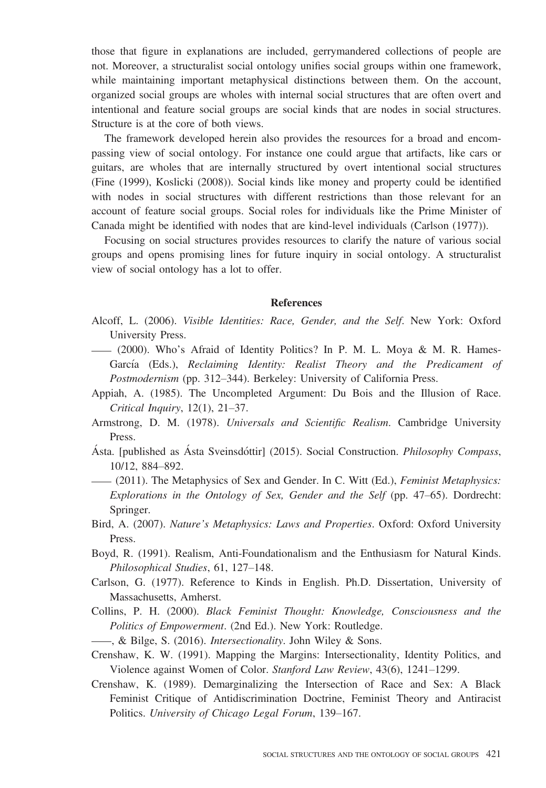those that figure in explanations are included, gerrymandered collections of people are not. Moreover, a structuralist social ontology unifies social groups within one framework, while maintaining important metaphysical distinctions between them. On the account, organized social groups are wholes with internal social structures that are often overt and intentional and feature social groups are social kinds that are nodes in social structures. Structure is at the core of both views.

The framework developed herein also provides the resources for a broad and encompassing view of social ontology. For instance one could argue that artifacts, like cars or guitars, are wholes that are internally structured by overt intentional social structures (Fine (1999), Koslicki (2008)). Social kinds like money and property could be identified with nodes in social structures with different restrictions than those relevant for an account of feature social groups. Social roles for individuals like the Prime Minister of Canada might be identified with nodes that are kind-level individuals (Carlson (1977)).

Focusing on social structures provides resources to clarify the nature of various social groups and opens promising lines for future inquiry in social ontology. A structuralist view of social ontology has a lot to offer.

#### References

- Alcoff, L. (2006). Visible Identities: Race, Gender, and the Self. New York: Oxford University Press.
- (2000). Who's Afraid of Identity Politics? In P. M. L. Moya & M. R. Hames-García (Eds.), Reclaiming Identity: Realist Theory and the Predicament of Postmodernism (pp. 312–344). Berkeley: University of California Press.
- Appiah, A. (1985). The Uncompleted Argument: Du Bois and the Illusion of Race. Critical Inquiry, 12(1), 21–37.
- Armstrong, D. M. (1978). Universals and Scientific Realism. Cambridge University Press.
- Ásta. [published as Ásta Sveinsdóttir] (2015). Social Construction. Philosophy Compass, 10/12, 884–892.
- (2011). The Metaphysics of Sex and Gender. In C. Witt (Ed.), Feminist Metaphysics: Explorations in the Ontology of Sex, Gender and the Self (pp. 47–65). Dordrecht: Springer.
- Bird, A. (2007). Nature's Metaphysics: Laws and Properties. Oxford: Oxford University Press.
- Boyd, R. (1991). Realism, Anti-Foundationalism and the Enthusiasm for Natural Kinds. Philosophical Studies, 61, 127–148.
- Carlson, G. (1977). Reference to Kinds in English. Ph.D. Dissertation, University of Massachusetts, Amherst.
- Collins, P. H. (2000). Black Feminist Thought: Knowledge, Consciousness and the Politics of Empowerment. (2nd Ed.). New York: Routledge.

, & Bilge, S. (2016). Intersectionality. John Wiley & Sons.

- Crenshaw, K. W. (1991). Mapping the Margins: Intersectionality, Identity Politics, and Violence against Women of Color. Stanford Law Review, 43(6), 1241–1299.
- Crenshaw, K. (1989). Demarginalizing the Intersection of Race and Sex: A Black Feminist Critique of Antidiscrimination Doctrine, Feminist Theory and Antiracist Politics. University of Chicago Legal Forum, 139–167.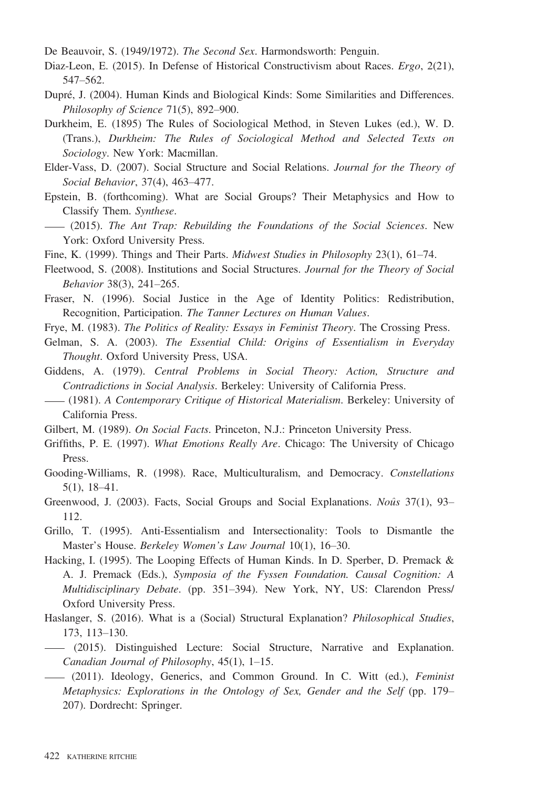De Beauvoir, S. (1949/1972). The Second Sex. Harmondsworth: Penguin.

- Diaz-Leon, E. (2015). In Defense of Historical Constructivism about Races. *Ergo*, 2(21), 547–562.
- Dupré, J. (2004). Human Kinds and Biological Kinds: Some Similarities and Differences. Philosophy of Science 71(5), 892–900.
- Durkheim, E. (1895) The Rules of Sociological Method, in Steven Lukes (ed.), W. D. (Trans.), Durkheim: The Rules of Sociological Method and Selected Texts on Sociology. New York: Macmillan.
- Elder-Vass, D. (2007). Social Structure and Social Relations. Journal for the Theory of Social Behavior, 37(4), 463–477.
- Epstein, B. (forthcoming). What are Social Groups? Their Metaphysics and How to Classify Them. Synthese.
- (2015). The Ant Trap: Rebuilding the Foundations of the Social Sciences. New York: Oxford University Press.
- Fine, K. (1999). Things and Their Parts. Midwest Studies in Philosophy 23(1), 61–74.
- Fleetwood, S. (2008). Institutions and Social Structures. Journal for the Theory of Social Behavior 38(3), 241–265.
- Fraser, N. (1996). Social Justice in the Age of Identity Politics: Redistribution, Recognition, Participation. The Tanner Lectures on Human Values.
- Frye, M. (1983). The Politics of Reality: Essays in Feminist Theory. The Crossing Press.
- Gelman, S. A. (2003). The Essential Child: Origins of Essentialism in Everyday Thought. Oxford University Press, USA.
- Giddens, A. (1979). Central Problems in Social Theory: Action, Structure and Contradictions in Social Analysis. Berkeley: University of California Press.
- (1981). A Contemporary Critique of Historical Materialism. Berkeley: University of California Press.
- Gilbert, M. (1989). On Social Facts. Princeton, N.J.: Princeton University Press.
- Griffiths, P. E. (1997). What Emotions Really Are. Chicago: The University of Chicago Press.
- Gooding-Williams, R. (1998). Race, Multiculturalism, and Democracy. Constellations 5(1), 18–41.
- Greenwood, J. (2003). Facts, Social Groups and Social Explanations. Noûs 37(1), 93– 112.
- Grillo, T. (1995). Anti-Essentialism and Intersectionality: Tools to Dismantle the Master's House. Berkeley Women's Law Journal 10(1), 16–30.
- Hacking, I. (1995). The Looping Effects of Human Kinds. In D. Sperber, D. Premack & A. J. Premack (Eds.), Symposia of the Fyssen Foundation. Causal Cognition: A Multidisciplinary Debate. (pp. 351–394). New York, NY, US: Clarendon Press/ Oxford University Press.
- Haslanger, S. (2016). What is a (Social) Structural Explanation? Philosophical Studies, 173, 113–130.
- (2015). Distinguished Lecture: Social Structure, Narrative and Explanation. Canadian Journal of Philosophy, 45(1), 1–15.
- (2011). Ideology, Generics, and Common Ground. In C. Witt (ed.), Feminist Metaphysics: Explorations in the Ontology of Sex, Gender and the Self (pp. 179– 207). Dordrecht: Springer.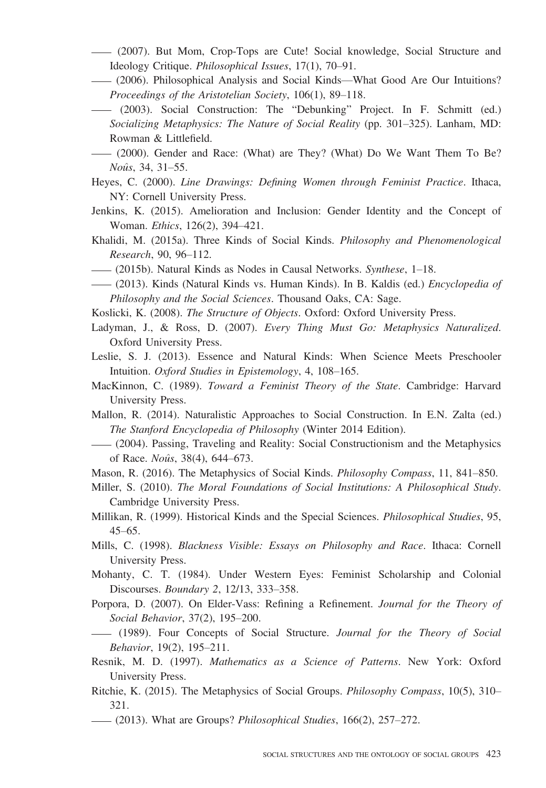- (2007). But Mom, Crop-Tops are Cute! Social knowledge, Social Structure and Ideology Critique. Philosophical Issues, 17(1), 70–91.
- (2006). Philosophical Analysis and Social Kinds—What Good Are Our Intuitions? Proceedings of the Aristotelian Society, 106(1), 89–118.
- (2003). Social Construction: The "Debunking" Project. In F. Schmitt (ed.) Socializing Metaphysics: The Nature of Social Reality (pp. 301–325). Lanham, MD: Rowman & Littlefield.
- (2000). Gender and Race: (What) are They? (What) Do We Want Them To Be? Noûs, 34, 31–55.
- Heyes, C. (2000). Line Drawings: Defining Women through Feminist Practice. Ithaca, NY: Cornell University Press.
- Jenkins, K. (2015). Amelioration and Inclusion: Gender Identity and the Concept of Woman. Ethics, 126(2), 394–421.
- Khalidi, M. (2015a). Three Kinds of Social Kinds. Philosophy and Phenomenological Research, 90, 96–112.
- (2015b). Natural Kinds as Nodes in Causal Networks. Synthese, 1–18.
- (2013). Kinds (Natural Kinds vs. Human Kinds). In B. Kaldis (ed.) *Encyclopedia of* Philosophy and the Social Sciences. Thousand Oaks, CA: Sage.
- Koslicki, K. (2008). The Structure of Objects. Oxford: Oxford University Press.
- Ladyman, J., & Ross, D. (2007). Every Thing Must Go: Metaphysics Naturalized. Oxford University Press.
- Leslie, S. J. (2013). Essence and Natural Kinds: When Science Meets Preschooler Intuition. Oxford Studies in Epistemology, 4, 108–165.
- MacKinnon, C. (1989). Toward a Feminist Theory of the State. Cambridge: Harvard University Press.
- Mallon, R. (2014). Naturalistic Approaches to Social Construction. In E.N. Zalta (ed.) The Stanford Encyclopedia of Philosophy (Winter 2014 Edition).
- (2004). Passing, Traveling and Reality: Social Constructionism and the Metaphysics of Race. Noûs, 38(4), 644–673.
- Mason, R. (2016). The Metaphysics of Social Kinds. Philosophy Compass, 11, 841–850.
- Miller, S. (2010). The Moral Foundations of Social Institutions: A Philosophical Study. Cambridge University Press.
- Millikan, R. (1999). Historical Kinds and the Special Sciences. Philosophical Studies, 95, 45–65.
- Mills, C. (1998). Blackness Visible: Essays on Philosophy and Race. Ithaca: Cornell University Press.
- Mohanty, C. T. (1984). Under Western Eyes: Feminist Scholarship and Colonial Discourses. Boundary 2, 12/13, 333–358.
- Porpora, D. (2007). On Elder-Vass: Refining a Refinement. Journal for the Theory of Social Behavior, 37(2), 195–200.
- (1989). Four Concepts of Social Structure. Journal for the Theory of Social Behavior, 19(2), 195–211.
- Resnik, M. D. (1997). Mathematics as a Science of Patterns. New York: Oxford University Press.
- Ritchie, K. (2015). The Metaphysics of Social Groups. Philosophy Compass, 10(5), 310– 321.
- (2013). What are Groups? *Philosophical Studies*, 166(2), 257–272.